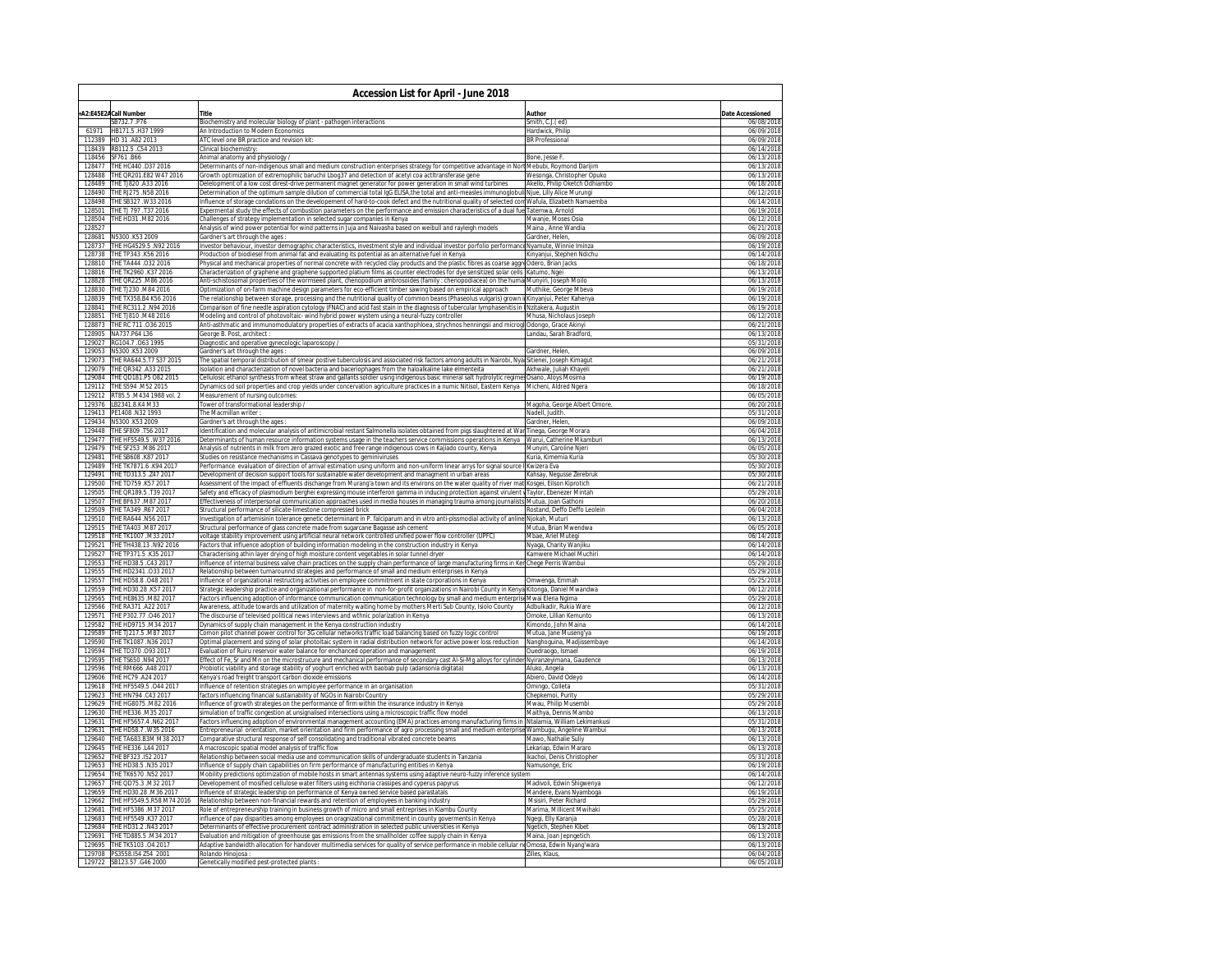|                  | <b>Accession List for April - June 2018</b>       |                                                                                                                                                                                                                                                         |                                                   |                          |  |  |  |
|------------------|---------------------------------------------------|---------------------------------------------------------------------------------------------------------------------------------------------------------------------------------------------------------------------------------------------------------|---------------------------------------------------|--------------------------|--|--|--|
|                  | A2:E45E2ACall Number                              | <b>Title</b>                                                                                                                                                                                                                                            | Author                                            | Date Accessioned         |  |  |  |
|                  | SB732.7.P76                                       | Biochemistry and molecular biology of plant - pathogen interactions                                                                                                                                                                                     | Smith, C.J.(ed)                                   | 06/08/2018               |  |  |  |
| 61971            | HB171.5.H37 1999                                  | An Introduction to Modern Economics                                                                                                                                                                                                                     | Hardwick, Philip                                  | 06/09/2018               |  |  |  |
| 112389           | HD 31 .A82 2013                                   | ATC level one BR practice and revision kit:                                                                                                                                                                                                             | <b>BR Professional</b>                            | 06/09/2018               |  |  |  |
| 118456           | 118439 RB112.5 .C54 2013<br>SF761 B66             | Clinical biochemistry:<br>Animal anatomy and physiology /                                                                                                                                                                                               | Bone, Jesse E.                                    | 06/14/2018<br>06/13/2018 |  |  |  |
| 128477           | THE HC440 .D37 2016                               | Determinants of non-indigenous small and medium construction enterprises strategy for competitive advantage in Nort Mebubi, Roymond Darijim                                                                                                             |                                                   | 06/13/2018               |  |  |  |
| 128488           | THE QR201.E82 W47 2016                            | Growth optimization of extremophilic baruchii Lbog37 and detection of acetyl coa actItransferase gene                                                                                                                                                   | Wesonga, Christopher Opuko                        | 06/13/2018               |  |  |  |
| 128489           | THE TJ820 .A33 2016                               | Delelopment of a low cost direst-drive permanent magnet generator for power generation in small wind turbines                                                                                                                                           | Akello, Philip Oketch Odhiambo                    | 06/18/2018               |  |  |  |
| 128490           | THE RJ275 .N58 2016                               | Determination of the optimum sample dilution of commercial total IgG ELISA,the total and anti-measles immunoglobuli Njue, Lilly Alice Murungi                                                                                                           |                                                   | 06/12/2018               |  |  |  |
| 128498           | THE SB327 W33 2016                                | Influence of storage condations on the developement of hard-to-cook defect and the nutritional quality of selected con Wafula, Elizabeth Namaemba                                                                                                       |                                                   | 06/14/2018               |  |  |  |
| 128501           | THE TJ 797 .T37 2016                              | Expermental study the effects of combustion parameters on the performance and emission characteristics of a dual fue Tatemwa, Arnold                                                                                                                    |                                                   | 06/19/2018               |  |  |  |
| 128504<br>128527 | THE HD31 .M82 2016                                | hallenges of strategy implementation in selected sugar companies in Kenya                                                                                                                                                                               | Mwanje, Moses Osia                                | 06/12/2018               |  |  |  |
| 128681           | N5300 K53 2009                                    | Analysis of wind power potential for wind patterns in Juja and Naivasha based on weibull and rayleigh models<br>Sardner's art through the ages                                                                                                          | Maina . Anne Wandia<br>Gardner, Helen,            | 06/21/2018<br>06/09/2018 |  |  |  |
| 128737           | THE HG4529.5 .N92 2016                            | nvestor behaviour, investor demographic characteristics, investment style and individual investor porfolio performance                                                                                                                                  | Nyamute, Winnie Iminza                            | 06/19/2018               |  |  |  |
| 128738           | THE TP343 .K56 2016                               | Production of biodiesel from animal fat and evaluating its potential as an alternative fuel in Kenya                                                                                                                                                    | Kinyanjui, Stephen Ndichu                         | 06/14/2018               |  |  |  |
| 128810           | THE TA444 .032 2016                               | Physical and mechanical properties of normal concrete with recycled clay products and the plastic fibres as coarse aggre Odero, Brian Jacks                                                                                                             |                                                   | 06/18/2018               |  |  |  |
|                  | 128816 THE TK2960 K37 2016                        | Characterization of graphene and graphene supported platium films as counter electrodes for dye sensitized solar cells Katumo, Ngei                                                                                                                     |                                                   | 06/13/2018               |  |  |  |
| 128828           | THE QR225 .M86 2016                               | Anti-schistosomal properties of the wormseed plant, chenopodium ambrosoides (family : chenopodiacea) on the humal Munyiri, Joseph Moilo                                                                                                                 |                                                   | 06/13/2018               |  |  |  |
| 128830           | THE TJ230 .M84 2016                               | Optimization of on-farm machine design parameters for eco-efficient timber sawing based on empirical approach                                                                                                                                           | Muthike, George Mbeva                             | 06/19/2018               |  |  |  |
|                  | 128839 THE TX358.B4 K56 2016                      | The relationship between storage, processing and the nutritional quality of common beans (Phaseolus vulgaris) grown il Kinyanjui, Peter Kahenya                                                                                                         |                                                   | 06/19/2018               |  |  |  |
| 128841<br>128851 | THE RC311.2 .N94 2016<br>THE TJ810 .M48 2016      | Comparison of fine needle aspiration cytology (FNAC) and acid fast stain in the diagnosis of tubercular lymphasenitis in INzitakera, Augustin                                                                                                           | Mhusa, Nicholaus Joseph                           | 06/19/2018<br>06/12/2018 |  |  |  |
| 128873           | THE RC 711 .036 2015                              | Modeling and control of photovoltaic- wind hybrid power wystem using a neural-fuzzy controller<br>Anti-asthmatic and immunomodulatory properties of extracts of acacia xanthophloea, strychnos henningsii and microgl Odongo, Grace Akinyi              |                                                   | 06/21/2018               |  |  |  |
| 128905           | NA737.P64 L36                                     | George B. Post, architect:                                                                                                                                                                                                                              | Landau, Sarah Bradford,                           | 06/13/2018               |  |  |  |
| 129027           | RG104.7.063 1995                                  | Diagnostic and operative gynecologic laparoscopy /                                                                                                                                                                                                      |                                                   | 05/31/2018               |  |  |  |
| 129053           | N5300 K53 2009                                    | Gardner's art through the ages :                                                                                                                                                                                                                        | Gardner, Helen,                                   | 06/09/2018               |  |  |  |
| 129073           | THE RA644.5.T7 S37 2015                           | The spatial temporal distribution of smear postive tuberculosis and associated risk factors among adults in Nairobi, Nyal Sitienei, Joseph Kimagut                                                                                                      |                                                   | 06/21/2018               |  |  |  |
|                  | 129079 THE QR342 A33 2015                         | Isolation and characterization of novel bacteria and baceriophages from the haloalkaline lake elmenteita                                                                                                                                                | Akhwale, Juliah Khayeli                           | 06/21/2018               |  |  |  |
| 129084<br>129112 | THE QD181.P5 082 2015<br>THE S594 .M52 2015       | Cellulosic ethanol synthesis from wheat straw and gallants soldier using indigenous basic mineral salt hydrolytic regime: Osano, Aloys Mosima                                                                                                           |                                                   | 06/19/2018<br>06/18/2018 |  |  |  |
|                  | 129212 RT85.5 .M434 1988 vol. 2                   | Dynamics od soil properties and crop yields under concervation agriculture practices in a numic Nitisol, Eastern Kenya<br>Measurement of nursing outcomes:                                                                                              | Micheni, Aldred Ngera                             | 06/05/2018               |  |  |  |
|                  | 129376 LB2341.8.K4 M33                            | Tower of transformational leadership /                                                                                                                                                                                                                  | Magoha, George Albert Omore                       | 06/20/2018               |  |  |  |
| 129413           | PE1408 .N32 1993                                  | The Macmillan writer                                                                                                                                                                                                                                    | Nadell, Judith.                                   | 05/31/2018               |  |  |  |
| 129434           | N5300 K53 2009                                    | Gardner's art through the ages                                                                                                                                                                                                                          | Gardner, Helen                                    | 06/09/2018               |  |  |  |
| 129448           | THE SF809 .T56 2017                               | Identification and molecular analysis of antimicrobial restant Salmonella isolates obtained from pigs slaughtered at War Tinega, George Morara                                                                                                          |                                                   | 06/04/2018               |  |  |  |
| 129477           | THE HF5549.5 .W37 2016                            | Determinants of human resource information systems usage in the teachers service commissions operations in Kenya                                                                                                                                        | Warui, Catherine Mkamburi                         | 06/13/2018               |  |  |  |
| 129479           | THE SF253 .M86 2017                               | Analysis of nutrients in milk from zero grazed exotic and free range indigenous cows in Kajiado county, Kenya                                                                                                                                           | Munyiri, Caroline Njeri                           | 06/05/2018               |  |  |  |
| 129481<br>129489 | THE SB608 K87 2017<br>THE TK7871.6 .K94 2017      | Studies on resistance mechanisms in Cassava genotypes to geminiviruses                                                                                                                                                                                  | Kuria, Kimemia Kuria                              | 05/30/2018               |  |  |  |
| 129491           | THE TD313.5 .Z47 2017                             | Performance evaluation of direction of arrival estimation using uniform and non-uniform linear arrys for signal source I Kwizera Eva<br>Development of decision support tools for sustainable water development and managment in urban areas            | Kahsay, Negusse Zerebruk                          | 05/30/2018<br>05/30/2018 |  |  |  |
| 129500           | THE TD759 .K57 2017                               | Assessment of the impact of effluents dischange from Murang'a town and its environs on the water quality of river mat Kosgei, Eilson Kiprotich                                                                                                          |                                                   | 06/21/2018               |  |  |  |
| 129505           | THE QR189.5 .T39 2017                             | Safety and efficacy of plasmodium berghei expressing mouse interferon gamma in inducing protection against virulent vTaylor, Ebenezer Mintah                                                                                                            |                                                   | 05/29/2018               |  |  |  |
| 129507           | THE BF637 .M87 2017                               | ffectiveness of interpersonal communication approaches used in media houses in managing trauma among journalists Mutua, Joan Gathoni:                                                                                                                   |                                                   | 06/20/2018               |  |  |  |
| 129509           | THE TA349 R67 2017                                | Structural performance of silicate-limestone compressed brick                                                                                                                                                                                           | Rostand, Deffo Deffo Leolein                      | 06/04/2018               |  |  |  |
| 129510           | THE RA644 .N56 2017                               | nvestigation of artemisinin tolerance genetic determinant in P. falciparum and in vitro anti-plssmodial activity of anline Njokah, Muturi                                                                                                               |                                                   | 06/13/2018               |  |  |  |
| 129515           | THE TA403 .M87 2017                               | Structural performance of glass concrete made from sugarcane Bagasse ash cement                                                                                                                                                                         | Mutua, Brian Mwendwa                              | 06/05/2018               |  |  |  |
| 129518           | THE TK1007 .M33 2017                              | oltage stability improvement using artificial neural network controlled unified power flow controller (UPFC)                                                                                                                                            | Mbae, Ariel Mutegi                                | 06/14/2018               |  |  |  |
| 129521<br>129527 | THE TH438.13 .N92 2016<br>THE TP371.5 K35 2017    | actors that influence adoption of building information modeling in the construction industry in Kenya<br>Characterising athin layer drying of high moisture content vegetables in solar tunnel dryer                                                    | Nyaga, Charity Wanjiku<br>Kamwere Michael Muchiri | 06/14/2018<br>06/14/2018 |  |  |  |
| 129553           | THE HD38.5 .C43 2017                              | nfluence of internal business valve chain practices on the supply chain performance of large manufacturing firms in Ker <mark>Chege Perris Wambui</mark>                                                                                                |                                                   | 05/29/2018               |  |  |  |
| 129555           | THE HD2341.033 2017                               | Relationship between turnarounnd strategies and performance of small and medium enterprises in Kenya                                                                                                                                                    |                                                   | 05/29/2018               |  |  |  |
|                  | 129557 THE HD58.8 .048 2017                       | Influence of organizational restructing activities on employee commitment in state corporations in Kenya                                                                                                                                                | Omwenga, Emmah                                    | 05/25/2018               |  |  |  |
| 129559           | THE HD30.28 .K57 2017                             | trategic leadership practice and organizational performance in non-for-profit organizations in Nairobi County in Kenya                                                                                                                                  | Kitonga, Daniel Mwandwa                           | 06/12/2018               |  |  |  |
| 129565           | THE HE8635 .M82 2017                              | Factors influencing adoption of informance communication communication technology by small and medium enterpriseMwai Elena Ngima                                                                                                                        |                                                   | 05/29/2018               |  |  |  |
| 129566           | THE RA371, A22 2017                               | Awareness, attitude towards and utilization of maternity waiting home by mothers Merti Sub County, Isiolo County                                                                                                                                        | Adbulkadir, Rukia Ware                            | 06/12/2018               |  |  |  |
| 129571<br>129582 | THE P302.77.046 2017<br>THE HD9715 M34 2017       | he discourse of televised political news interviews and wthnic polarization in Kenya                                                                                                                                                                    | Omoke, Lillian Kemunto<br>Kimondo, John Maina     | 06/13/2018<br>06/14/2018 |  |  |  |
| 129589           | THE TJ217.5 .M87 2017                             | Dynamics of supply chain management in the Kenya construction industry<br>Comon pilot channel power control for 3G cellular networks traffic load balancing based on fuzzy logic control                                                                | Mutua, Jane Museng'ya                             | 06/19/2018               |  |  |  |
| 129590           | THE TK1087 .N36 2017                              | Optimal placement and sizing of solar photoltaic system in radial distribution network for active power loss reduction                                                                                                                                  | Nanghoguina, Madjissembaye                        | 06/14/2018               |  |  |  |
| 129594           | THE TD370 .093 2017                               | Evaluation of Ruiru reservoir water balance for enchanced operation and management                                                                                                                                                                      | Ouedraogo, Ismael                                 | 06/19/2018               |  |  |  |
| 129595           | THE TS650 .N94 2017                               | Effect of Fe, Sr and Mn on the microstrucure and mechanical performance of secondary cast Al-Si-Mg alloys for cylinder Nyiranzeyimana, Gaudence                                                                                                         |                                                   | 06/13/2018               |  |  |  |
| 129596           | THE RM666 .A48 2017                               | robiotic viability and storage stability of yoghurt enriched with baobab pulp (adansonia digitata)                                                                                                                                                      | Aluko, Angela                                     | 06/13/2018               |  |  |  |
| 129606           | THE HC79 .A24 2017                                | Cenya's road freight transport carbon dioxide emissions                                                                                                                                                                                                 | Abiero, David Odeyo                               | 06/14/2018               |  |  |  |
| 129618           | THE HF5549.5 .044 2017                            | nfluence of retention strategies on wmployee performance in an organisation                                                                                                                                                                             | Omingo, Colleta                                   | 05/31/2018               |  |  |  |
| 129623           | THE HN794 .C43 2017                               | actors influencing financial sustainability of NGOs in Nairobi Country                                                                                                                                                                                  | Chepkemoi, Purity                                 | 05/29/2018               |  |  |  |
| 129629<br>129630 | THE HG8075 .M82 2016<br>THE HE336 .M35 2017       | nfluence of growth strategies on the performance of firm within the insurance industry in Kenya                                                                                                                                                         | Mwau, Philip Musembi<br>Maithva, Dennis Mambo     | 05/29/2018<br>06/13/2018 |  |  |  |
| 129631           | THE HF5657.4 .N62 2017                            | simulation of traffic congestion at unsignalised intersections using a microscopic traffic flow model<br>Factors influencing adoption of environmental management accounting (EMA) practices among manufacturing firms in Ntalamia, William Lekimankusi |                                                   | 05/31/2018               |  |  |  |
| 129631           | THE HD58.7 .W35 2016                              | Entrepreneurial orientation, market orientation and firm performance of agro processing small and medium enterprise Wambugu, Angeline Wambui                                                                                                            |                                                   | 06/13/2018               |  |  |  |
| 129640           | THE TA683.B3M M38 2017                            | Comparative structural response of self consolidating and traditional vibrated concrete beams                                                                                                                                                           | Mawo. Nathalie Suliv                              | 06/13/2018               |  |  |  |
| 129645           | THE HE336 .L44 2017                               | A macroscopic spatial model analysis of traffic flow                                                                                                                                                                                                    | Lekariap, Edwin Mararo                            | 06/13/2018               |  |  |  |
| 129652           | THE BF323 .152 2017                               | Relationship between social media use and communication skills of undergraduate students in Tanzania                                                                                                                                                    | Ikachoi, Denis Christopher                        | 05/31/2018               |  |  |  |
| 129653           | THE HD38.5 .N35 2017                              | Influence of supply chain capabilities on firm performance of manufacturing entities in Kenya                                                                                                                                                           | Namusonge, Eric                                   | 06/19/2018               |  |  |  |
| 129654           | THE TK6570 .N52 2017                              | Mobility predictions optimization of mobile hosts in smart antennas systems using adaptive neuro-fuzzy inference system                                                                                                                                 |                                                   | 06/14/2018               |  |  |  |
| 129657           | THE QD75.3 .M32 2017                              | evelopement of mosified cellulose water filters using eichhoria crassipes and cyperus papyrus                                                                                                                                                           | Madivoli, Edwin Shigwenya                         | 06/12/2018               |  |  |  |
| 129659<br>129662 | THE HD30.28 M36 2017<br>THE HF5549.5.R58 M74 2016 | Influence of strategic leadership on performance of Kenya owned service based parastatals<br>Relationship between non-financial rewards and retention of employees in banking industry                                                                  | Mandere, Evans Nyamboga<br>Msisiri, Peter Richard | 06/19/2018<br>05/29/2018 |  |  |  |
| 129681           | THE HF5386 .M37 2017                              | Role of entrepreneurship training in business growth of micro and small entreprises in Kiambu County                                                                                                                                                    | Marima, Millicent Mwihaki                         | 05/25/2018               |  |  |  |
| 129683           | THE HF5549 K37 2017                               | nfluence of pay disparities among employees on oragnizational commitment in county goverments in Kenya                                                                                                                                                  | Ngegi, Elly Karanja                               | 05/28/2018               |  |  |  |
| 129684           | THE HD31.2 .N43 2017                              | Determinants of effective procurement contract administration in selected public universities in Kenya                                                                                                                                                  | Ngetich, Stephen Kibet                            | 06/13/2018               |  |  |  |
| 129691           | THE TD885.5 .M34 2017                             | Evaluation and mitigation of greenhouse gas emissions from the smallholder coffee supply chain in Kenya                                                                                                                                                 | Maina, Joan Jepngetich                            | 06/13/2018               |  |  |  |
| 129695           | THE TK5103 .04 2017                               | Adaptive bandwidth allocation for handover multimedia services for quality of service performance in mobile cellular neOmosa, Edwin Nyang'wara                                                                                                          |                                                   | 06/13/2018               |  |  |  |
| 129708           | PS3558.154 Z54 2001                               | Rolando Hinojosa :                                                                                                                                                                                                                                      | Zilles, Klaus,                                    | 06/04/2018               |  |  |  |
|                  | 129722 SB123.57 .G46 2000                         | Genetically modified pest-protected plants :                                                                                                                                                                                                            |                                                   | 06/05/2018               |  |  |  |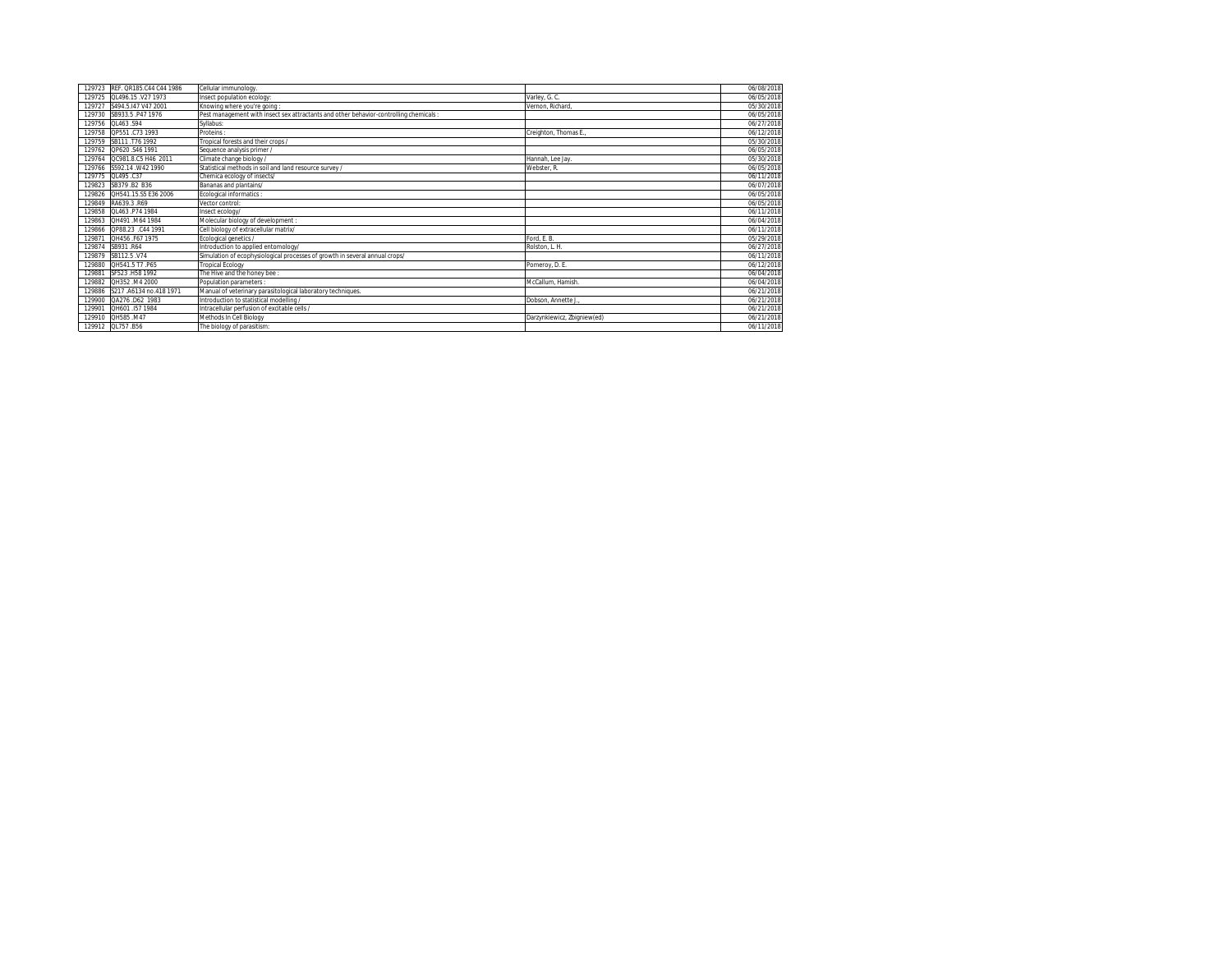| REF. QR185.C44 C44 1986<br>Cellular immunology.<br>129723<br>OL496.15.V27 1973<br>129725<br>Insect population ecology:<br>Varley, G. C.<br>S494.5.147 V47 2001<br>Knowing where you're going:<br>Vernon, Richard.<br>129727<br>SB933.5 P47 1976<br>Pest management with insect sex attractants and other behavior-controlling chemicals :<br>129730<br>QL463 .S94<br>129756<br>Syllabus:<br>129758 QP551.C73 1993<br>Proteins:<br>Creighton, Thomas E.<br>129759 SB111 T76 1992<br>Tropical forests and their crops /<br>QP620.S46 1991<br>Sequence analysis primer /<br>129762<br>QC981.8.C5 H46 2011<br>Climate change biology /<br>129764<br>Hannah, Lee Jav.<br>Statistical methods in soil and land resource survey<br>S592.14 W42 1990<br>Webster, R.<br>129766<br>QL495 .C37<br>129775<br>Chemica ecology of insects/<br>SB379 B2 B36<br>129823<br>Bananas and plantains/<br>QH541.15.S5 E36 2006<br><b>Ecological informatics:</b><br>129826<br>RA639.3.R69<br>129849<br>Vector control:<br>OL463 P74 1984<br>129858<br>Insect ecology/<br>Molecular biology of development :<br>OH491.M64 1984<br>129863<br>OP88 23 C44 1991<br>Cell biology of extracellular matrix/<br>129866<br>QH456 F67 1975<br>Ford, E. B.<br>Ecological genetics /<br>129871<br>Introduction to applied entomology/<br>SB931.R64<br>129874<br>Rolston, L. H.<br>SB112.5 V74<br>Simulation of ecophysiological processes of growth in several annual crops/<br>129879<br>OH541.5 T7 .P65<br><b>Tropical Ecology</b><br>129880<br>Pomeroy, D. E.<br>SF523 .H58 1992<br>The Hive and the honey bee :<br>129881<br>QH352 .M4 2000<br>Population parameters :<br>McCallum, Hamish.<br>129882<br>Manual of veterinary parasitological laboratory techniques.<br>S217 .A6134 no.418 1971<br>129886<br>QA276 D62 1983<br>Introduction to statistical modelling /<br>Dobson, Annette J.,<br>129900<br>OH601.I57 1984<br>Intracellular perfusion of excitable cells /<br>129901<br>OH585.M47<br>Methods In Cell Biology<br>129910<br>Darzynkiewicz, Zbigniew(ed)<br>129912 QL757 B56<br>The biology of parasitism: |            |
|------------------------------------------------------------------------------------------------------------------------------------------------------------------------------------------------------------------------------------------------------------------------------------------------------------------------------------------------------------------------------------------------------------------------------------------------------------------------------------------------------------------------------------------------------------------------------------------------------------------------------------------------------------------------------------------------------------------------------------------------------------------------------------------------------------------------------------------------------------------------------------------------------------------------------------------------------------------------------------------------------------------------------------------------------------------------------------------------------------------------------------------------------------------------------------------------------------------------------------------------------------------------------------------------------------------------------------------------------------------------------------------------------------------------------------------------------------------------------------------------------------------------------------------------------------------------------------------------------------------------------------------------------------------------------------------------------------------------------------------------------------------------------------------------------------------------------------------------------------------------------------------------------------------------------------------------------------------------------------------------------------------------------------------------------------------------------------------|------------|
|                                                                                                                                                                                                                                                                                                                                                                                                                                                                                                                                                                                                                                                                                                                                                                                                                                                                                                                                                                                                                                                                                                                                                                                                                                                                                                                                                                                                                                                                                                                                                                                                                                                                                                                                                                                                                                                                                                                                                                                                                                                                                          | 06/08/2018 |
|                                                                                                                                                                                                                                                                                                                                                                                                                                                                                                                                                                                                                                                                                                                                                                                                                                                                                                                                                                                                                                                                                                                                                                                                                                                                                                                                                                                                                                                                                                                                                                                                                                                                                                                                                                                                                                                                                                                                                                                                                                                                                          | 06/05/2018 |
|                                                                                                                                                                                                                                                                                                                                                                                                                                                                                                                                                                                                                                                                                                                                                                                                                                                                                                                                                                                                                                                                                                                                                                                                                                                                                                                                                                                                                                                                                                                                                                                                                                                                                                                                                                                                                                                                                                                                                                                                                                                                                          | 05/30/2018 |
|                                                                                                                                                                                                                                                                                                                                                                                                                                                                                                                                                                                                                                                                                                                                                                                                                                                                                                                                                                                                                                                                                                                                                                                                                                                                                                                                                                                                                                                                                                                                                                                                                                                                                                                                                                                                                                                                                                                                                                                                                                                                                          | 06/05/2018 |
|                                                                                                                                                                                                                                                                                                                                                                                                                                                                                                                                                                                                                                                                                                                                                                                                                                                                                                                                                                                                                                                                                                                                                                                                                                                                                                                                                                                                                                                                                                                                                                                                                                                                                                                                                                                                                                                                                                                                                                                                                                                                                          | 06/27/2018 |
|                                                                                                                                                                                                                                                                                                                                                                                                                                                                                                                                                                                                                                                                                                                                                                                                                                                                                                                                                                                                                                                                                                                                                                                                                                                                                                                                                                                                                                                                                                                                                                                                                                                                                                                                                                                                                                                                                                                                                                                                                                                                                          | 06/12/2018 |
|                                                                                                                                                                                                                                                                                                                                                                                                                                                                                                                                                                                                                                                                                                                                                                                                                                                                                                                                                                                                                                                                                                                                                                                                                                                                                                                                                                                                                                                                                                                                                                                                                                                                                                                                                                                                                                                                                                                                                                                                                                                                                          | 05/30/2018 |
|                                                                                                                                                                                                                                                                                                                                                                                                                                                                                                                                                                                                                                                                                                                                                                                                                                                                                                                                                                                                                                                                                                                                                                                                                                                                                                                                                                                                                                                                                                                                                                                                                                                                                                                                                                                                                                                                                                                                                                                                                                                                                          | 06/05/2018 |
|                                                                                                                                                                                                                                                                                                                                                                                                                                                                                                                                                                                                                                                                                                                                                                                                                                                                                                                                                                                                                                                                                                                                                                                                                                                                                                                                                                                                                                                                                                                                                                                                                                                                                                                                                                                                                                                                                                                                                                                                                                                                                          | 05/30/2018 |
|                                                                                                                                                                                                                                                                                                                                                                                                                                                                                                                                                                                                                                                                                                                                                                                                                                                                                                                                                                                                                                                                                                                                                                                                                                                                                                                                                                                                                                                                                                                                                                                                                                                                                                                                                                                                                                                                                                                                                                                                                                                                                          | 06/05/2018 |
|                                                                                                                                                                                                                                                                                                                                                                                                                                                                                                                                                                                                                                                                                                                                                                                                                                                                                                                                                                                                                                                                                                                                                                                                                                                                                                                                                                                                                                                                                                                                                                                                                                                                                                                                                                                                                                                                                                                                                                                                                                                                                          | 06/11/2018 |
|                                                                                                                                                                                                                                                                                                                                                                                                                                                                                                                                                                                                                                                                                                                                                                                                                                                                                                                                                                                                                                                                                                                                                                                                                                                                                                                                                                                                                                                                                                                                                                                                                                                                                                                                                                                                                                                                                                                                                                                                                                                                                          | 06/07/2018 |
|                                                                                                                                                                                                                                                                                                                                                                                                                                                                                                                                                                                                                                                                                                                                                                                                                                                                                                                                                                                                                                                                                                                                                                                                                                                                                                                                                                                                                                                                                                                                                                                                                                                                                                                                                                                                                                                                                                                                                                                                                                                                                          | 06/05/2018 |
|                                                                                                                                                                                                                                                                                                                                                                                                                                                                                                                                                                                                                                                                                                                                                                                                                                                                                                                                                                                                                                                                                                                                                                                                                                                                                                                                                                                                                                                                                                                                                                                                                                                                                                                                                                                                                                                                                                                                                                                                                                                                                          | 06/05/2018 |
|                                                                                                                                                                                                                                                                                                                                                                                                                                                                                                                                                                                                                                                                                                                                                                                                                                                                                                                                                                                                                                                                                                                                                                                                                                                                                                                                                                                                                                                                                                                                                                                                                                                                                                                                                                                                                                                                                                                                                                                                                                                                                          | 06/11/2018 |
|                                                                                                                                                                                                                                                                                                                                                                                                                                                                                                                                                                                                                                                                                                                                                                                                                                                                                                                                                                                                                                                                                                                                                                                                                                                                                                                                                                                                                                                                                                                                                                                                                                                                                                                                                                                                                                                                                                                                                                                                                                                                                          | 06/04/2018 |
|                                                                                                                                                                                                                                                                                                                                                                                                                                                                                                                                                                                                                                                                                                                                                                                                                                                                                                                                                                                                                                                                                                                                                                                                                                                                                                                                                                                                                                                                                                                                                                                                                                                                                                                                                                                                                                                                                                                                                                                                                                                                                          | 06/11/2018 |
|                                                                                                                                                                                                                                                                                                                                                                                                                                                                                                                                                                                                                                                                                                                                                                                                                                                                                                                                                                                                                                                                                                                                                                                                                                                                                                                                                                                                                                                                                                                                                                                                                                                                                                                                                                                                                                                                                                                                                                                                                                                                                          | 05/29/2018 |
|                                                                                                                                                                                                                                                                                                                                                                                                                                                                                                                                                                                                                                                                                                                                                                                                                                                                                                                                                                                                                                                                                                                                                                                                                                                                                                                                                                                                                                                                                                                                                                                                                                                                                                                                                                                                                                                                                                                                                                                                                                                                                          | 06/27/2018 |
|                                                                                                                                                                                                                                                                                                                                                                                                                                                                                                                                                                                                                                                                                                                                                                                                                                                                                                                                                                                                                                                                                                                                                                                                                                                                                                                                                                                                                                                                                                                                                                                                                                                                                                                                                                                                                                                                                                                                                                                                                                                                                          | 06/11/2018 |
|                                                                                                                                                                                                                                                                                                                                                                                                                                                                                                                                                                                                                                                                                                                                                                                                                                                                                                                                                                                                                                                                                                                                                                                                                                                                                                                                                                                                                                                                                                                                                                                                                                                                                                                                                                                                                                                                                                                                                                                                                                                                                          | 06/12/2018 |
|                                                                                                                                                                                                                                                                                                                                                                                                                                                                                                                                                                                                                                                                                                                                                                                                                                                                                                                                                                                                                                                                                                                                                                                                                                                                                                                                                                                                                                                                                                                                                                                                                                                                                                                                                                                                                                                                                                                                                                                                                                                                                          | 06/04/2018 |
|                                                                                                                                                                                                                                                                                                                                                                                                                                                                                                                                                                                                                                                                                                                                                                                                                                                                                                                                                                                                                                                                                                                                                                                                                                                                                                                                                                                                                                                                                                                                                                                                                                                                                                                                                                                                                                                                                                                                                                                                                                                                                          | 06/04/2018 |
|                                                                                                                                                                                                                                                                                                                                                                                                                                                                                                                                                                                                                                                                                                                                                                                                                                                                                                                                                                                                                                                                                                                                                                                                                                                                                                                                                                                                                                                                                                                                                                                                                                                                                                                                                                                                                                                                                                                                                                                                                                                                                          | 06/21/2018 |
|                                                                                                                                                                                                                                                                                                                                                                                                                                                                                                                                                                                                                                                                                                                                                                                                                                                                                                                                                                                                                                                                                                                                                                                                                                                                                                                                                                                                                                                                                                                                                                                                                                                                                                                                                                                                                                                                                                                                                                                                                                                                                          | 06/21/2018 |
|                                                                                                                                                                                                                                                                                                                                                                                                                                                                                                                                                                                                                                                                                                                                                                                                                                                                                                                                                                                                                                                                                                                                                                                                                                                                                                                                                                                                                                                                                                                                                                                                                                                                                                                                                                                                                                                                                                                                                                                                                                                                                          | 06/21/2018 |
|                                                                                                                                                                                                                                                                                                                                                                                                                                                                                                                                                                                                                                                                                                                                                                                                                                                                                                                                                                                                                                                                                                                                                                                                                                                                                                                                                                                                                                                                                                                                                                                                                                                                                                                                                                                                                                                                                                                                                                                                                                                                                          | 06/21/2018 |
|                                                                                                                                                                                                                                                                                                                                                                                                                                                                                                                                                                                                                                                                                                                                                                                                                                                                                                                                                                                                                                                                                                                                                                                                                                                                                                                                                                                                                                                                                                                                                                                                                                                                                                                                                                                                                                                                                                                                                                                                                                                                                          | 06/11/2018 |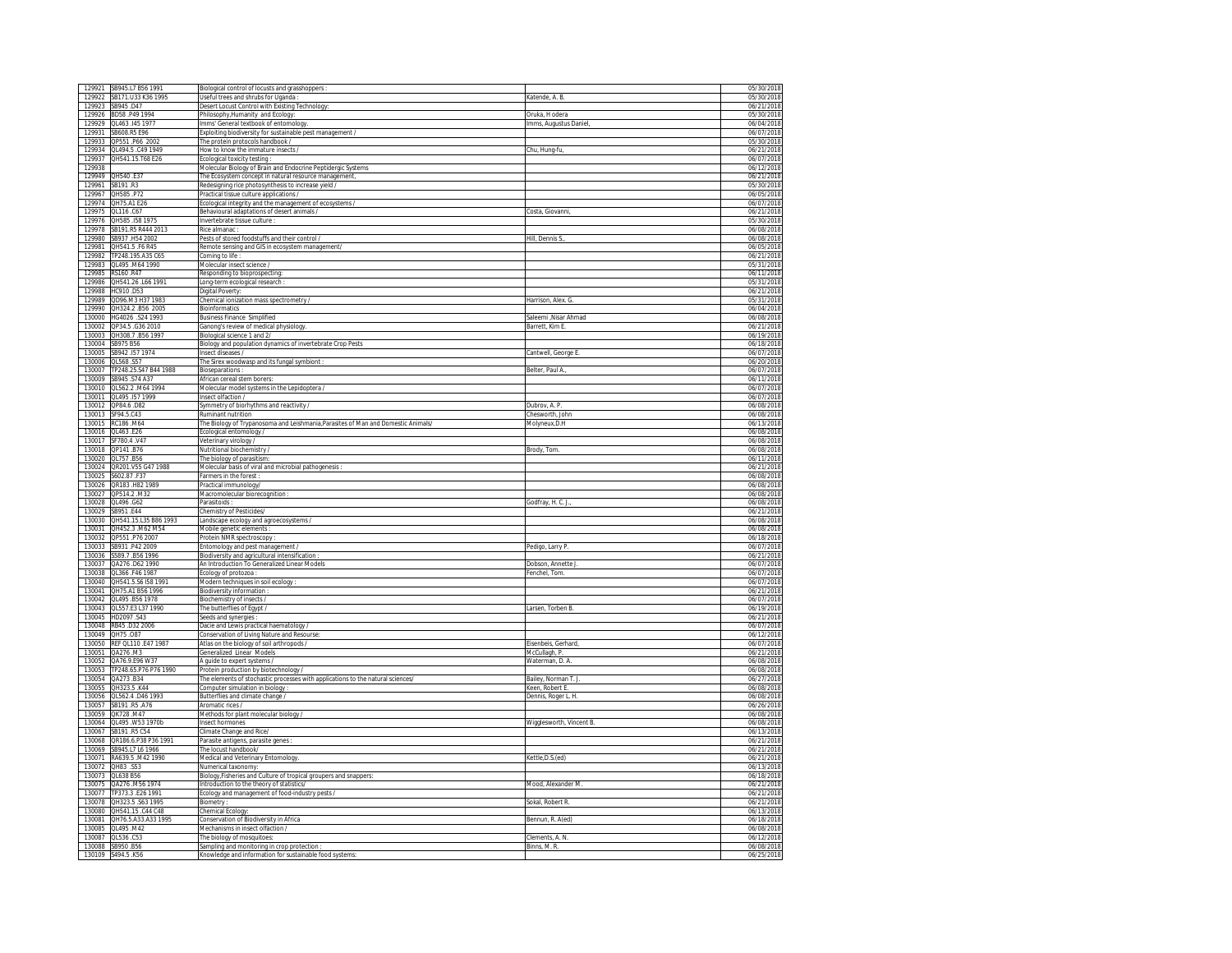| 129923 SB945.D47 |                                               |                                                                                                        |                          |                          |
|------------------|-----------------------------------------------|--------------------------------------------------------------------------------------------------------|--------------------------|--------------------------|
|                  | 129921 SB945.L7 B56 1991                      | Biological control of locusts and grasshoppers                                                         |                          | 05/30/2018               |
|                  | 129922 SB171.U33 K36 1995                     | Useful trees and shrubs for Uganda :                                                                   | Katende, A. B.           | 05/30/2018               |
|                  |                                               |                                                                                                        |                          |                          |
|                  |                                               | Desert Locust Control with Existing Technology                                                         |                          | 06/21/2018               |
|                  | 129926 BD58 P49 1994                          | Philosophy, Humanity and Ecology:                                                                      | Oruka, H odera           | 05/30/2018               |
|                  | 129929 01463 145 1977                         | Imms' General textbook of entomology.                                                                  | Imms, Augustus Daniel,   | 06/04/2018               |
|                  |                                               |                                                                                                        |                          |                          |
|                  | 129931 SB608.R5 E96                           | Exploiting biodiversity for sustainable pest management /                                              |                          | 06/07/2018               |
|                  | 129933 QP551.P66 2002                         | The protein protocols handbook /                                                                       |                          | 05/30/2018               |
|                  |                                               |                                                                                                        |                          |                          |
|                  | 129934 QL494.5 .C49 1949                      | How to know the immature insects /                                                                     | Chu, Hung-fu,            | 06/21/2018               |
| 129937           | QH541.15.T68 E26                              | cological toxicity testing                                                                             |                          | 06/07/2018               |
| 129938           |                                               | Molecular Biology of Brain and Endocrine Peptidergic Systems                                           |                          | 06/12/2018               |
|                  |                                               |                                                                                                        |                          |                          |
|                  | 129949 QH540 .E37                             | The Ecosystem concept in natural resource management,                                                  |                          | 06/21/2018               |
|                  | 129961 SB191 R3                               | Redesigning rice photosynthesis to increase yield /                                                    |                          | 05/30/2018               |
|                  |                                               |                                                                                                        |                          |                          |
|                  | 129967 QH585 P72                              | Practical tissue culture applications /                                                                |                          | 06/05/2018               |
|                  | 129974 QH75.A1 E26                            | Ecological integrity and the management of ecosystems /                                                |                          | 06/07/2018               |
|                  | 129975 OL116 .C67                             |                                                                                                        |                          | 06/21/2018               |
|                  |                                               | Behavioural adaptations of desert animals /                                                            | Costa, Giovanni,         |                          |
|                  | 129976 QH585 .I58 1975                        | nvertebrate tissue culture                                                                             |                          | 05/30/2018               |
| 129978           | SB191.R5 R444 2013                            | Rice almanac                                                                                           |                          | 06/08/2018               |
|                  |                                               |                                                                                                        |                          |                          |
|                  | 129980 SB937 .H54 2002                        | Pests of stored foodstuffs and their control /                                                         | Hill. Dennis S.          | 06/08/2018               |
| 129981           | QH541.5 .F6 R45                               | Remote sensing and GIS in ecosystem management/                                                        |                          | 06/05/2018               |
|                  |                                               |                                                                                                        |                          |                          |
|                  | 129982 TP248 195 A35 C65                      | Coming to life:                                                                                        |                          | 06/21/2018               |
|                  | 129983 QL495 M64 1990                         | Molecular insect science /                                                                             |                          | 05/31/2018               |
|                  |                                               |                                                                                                        |                          |                          |
| 129985           | RS160 .R47                                    | Responding to bioprospecting                                                                           |                          | 06/11/2018               |
|                  | 129986 QH541.26 .L66 1991                     | Long-term ecological research                                                                          |                          | 05/31/2018               |
|                  |                                               |                                                                                                        |                          |                          |
|                  | 129988 HC910 D53                              | Digital Poverty:                                                                                       |                          | 06/21/2018               |
|                  | 129989 QD96.M3 H37 1983                       | Chemical ionization mass spectrometry /                                                                | Harrison, Alex. G.       | 05/31/2018               |
|                  |                                               |                                                                                                        |                          |                          |
|                  | 129990 QH324.2 B56 2005                       | Bioinformatics                                                                                         |                          | 06/04/2018               |
|                  | 130000 HG4026 .S24 1993                       | <b>Business Finance Simplified</b>                                                                     | Saleemi .Nisar Ahmad     | 06/08/2018               |
|                  | 130002 QP34.5 .G36 2010                       |                                                                                                        |                          | 06/21/2018               |
|                  |                                               | Ganong's review of medical physiology.                                                                 | Barrett, Kim E.          |                          |
|                  | 130003 QH308.7 .B56 1997                      | Biological science 1 and 2/                                                                            |                          | 06/19/2018               |
|                  | 130004 SB975 B56                              | Biology and population dynamics of invertebrate Crop Pests                                             |                          | 06/18/2018               |
|                  |                                               |                                                                                                        |                          |                          |
| 130005           | SB942 .157 1974                               | Insect diseases /                                                                                      | Cantwell, George E       | 06/07/2018               |
| 130006           | QL568.S57                                     | The Sirex woodwasp and its fungal symbiont                                                             |                          | 06/20/2018               |
|                  |                                               |                                                                                                        |                          | 06/07/2018               |
|                  | 130007 TP248.25.S47 B44 1988                  | Bioseparations                                                                                         | Belter, Paul A           |                          |
|                  | 130009 SB945 S74 A37                          | African cereal stem borers:                                                                            |                          | 06/11/2018               |
|                  |                                               |                                                                                                        |                          |                          |
|                  | 130010 QL562.2 .M64 1994                      | Molecular model systems in the Lepidoptera /                                                           |                          | 06/07/2018               |
|                  | 130011 QL495 .157 1999                        | Insect olfaction /                                                                                     |                          | 06/07/201                |
|                  | 130012 QP84.6 .D82                            |                                                                                                        |                          |                          |
|                  |                                               | Symmetry of biorhythms and reactivity /                                                                | Dubrov, A. P             | 06/08/2018               |
|                  | 130013 SF94.5.C43                             | <b>Ruminant nutrition</b>                                                                              | Chesworth, John          | 06/08/2018               |
|                  | 130015 RC186 M64                              | The Biology of Trypanosoma and Leishmania, Parasites of Man and Domestic Animals/                      | Molyneux, D.H            | 06/13/2018               |
|                  |                                               |                                                                                                        |                          |                          |
|                  | 130016 QL463 E26                              | Ecological entomology /                                                                                |                          | 06/08/2018               |
|                  | 130017 SF780.4.V47                            | Veterinary virology /                                                                                  |                          | 06/08/2018               |
|                  |                                               |                                                                                                        |                          |                          |
|                  | 130018 QP141.B76                              | Nutritional biochemistry                                                                               | Brody, Tom.              | 06/08/2018               |
|                  | 130020 QL757 B56                              | The biology of parasitism:                                                                             |                          | 06/11/2018               |
|                  |                                               |                                                                                                        |                          |                          |
|                  | 130024 QR201.V55 G47 1988                     | Molecular basis of viral and microbial pathogenesis                                                    |                          | 06/21/2018               |
| 130025           | S602.87.F37                                   | Farmers in the forest                                                                                  |                          | 06/08/2018               |
|                  | 130026 QR183 .H82 1989                        |                                                                                                        |                          | 06/08/2018               |
|                  |                                               | Practical immunology/                                                                                  |                          |                          |
|                  | 130027 QP514.2 M32                            | Macromolecular biorecognition                                                                          |                          | 06/08/2018               |
|                  | 130028 QL496 G62                              | Parasitoids:                                                                                           | Godfray, H. C. J.        | 06/08/2018               |
|                  |                                               |                                                                                                        |                          |                          |
|                  | 130029 SB951.E44                              | Chemistry of Pesticides/                                                                               |                          | 06/21/201                |
|                  | 130030 QH541.15.L35 B86 1993                  | Landscape ecology and agroecosystems /                                                                 |                          | 06/08/2018               |
|                  |                                               |                                                                                                        |                          |                          |
|                  | 130031 QH452.3 M62 M54                        | Mobile genetic elements :                                                                              |                          | 06/08/2018               |
|                  | 130032 QP551 P76 2007                         | Protein NMR spectroscopy                                                                               |                          | 06/18/2018               |
|                  |                                               |                                                                                                        |                          |                          |
|                  | 130033 SB931 P42 2009                         | Entomology and pest management /                                                                       | Pedigo, Larry P.         | 06/07/2018               |
|                  | 130036 S589.7 B56 1996                        | Biodiversity and agricultural intensification                                                          |                          |                          |
| 130037           |                                               |                                                                                                        |                          |                          |
|                  | QA276 .D62 1990                               |                                                                                                        |                          | 06/21/2018               |
|                  | 130038 QL366 F46 1987                         | An Introduction To Generalized Linear Models                                                           | Dobson, Annette J        | 06/07/201                |
|                  |                                               |                                                                                                        | Fenchel, Tom             | 06/07/2018               |
|                  |                                               | Ecology of protozoa                                                                                    |                          |                          |
|                  | 130040 QH541.5.S6 I58 1991                    | Modern techniques in soil ecology                                                                      |                          | 06/07/2018               |
|                  | 130041 QH75.A1 B56 1996                       | Biodiversity information:                                                                              |                          | 06/21/2018               |
|                  |                                               |                                                                                                        |                          |                          |
|                  | 130042 QL495 B56 1978                         | Biochemistry of insects /                                                                              |                          | 06/07/2018               |
|                  |                                               |                                                                                                        | Larsen, Torben B.        | 06/19/2018               |
|                  | 130043 QL557.E3 L37 1990<br>130045 HD2097 S43 | The butterflies of Egypt /                                                                             |                          | 06/21/2018               |
|                  |                                               | Seeds and synergies :                                                                                  |                          |                          |
|                  | 130048 RB45 D32 2006                          | Dacie and Lewis practical haematology                                                                  |                          | 06/07/2018               |
|                  |                                               |                                                                                                        |                          |                          |
|                  | 130049 QH75.087                               | Conservation of Living Nature and Resourse                                                             |                          | 06/12/2018               |
|                  | 130050 REF QL110 E47 1987                     | Atlas on the biology of soil arthropods /                                                              | Eisenbeis, Gerhard       | 06/07/2018               |
|                  | 130051 QA276 M3                               | <b>Seneralized Linear Models</b>                                                                       | McCullagh, P             | 06/21/2018               |
|                  |                                               |                                                                                                        |                          |                          |
|                  | 130052 QA76.9.E96 W37                         | A quide to expert systems /                                                                            | Waterman, D. A.          | 06/08/2018               |
|                  | 130053 TP248.65.P76 P76 1990                  | Protein production by biotechnology /                                                                  |                          | 06/08/2018               |
|                  |                                               |                                                                                                        |                          |                          |
|                  | 130054 QA273 B34                              | The elements of stochastic processes with applications to the natural sciences/                        | Bailey, Norman T. J.     | 06/27/2018               |
|                  | 130055 QH323.5 K44                            | Computer simulation in biology                                                                         | Keen, Robert E           | 06/08/2018               |
|                  |                                               |                                                                                                        |                          |                          |
|                  | 130056 QL562.4 .D46 1993                      | Butterflies and climate change /                                                                       | Dennis, Roger L. H.      | 06/08/2018               |
|                  | 130057 SB191 R5 A76                           | Aromatic rices /                                                                                       |                          | 06/26/2018               |
|                  |                                               |                                                                                                        |                          |                          |
|                  | 130059 QK728 M47                              | Methods for plant molecular biology /                                                                  |                          | 06/08/2018               |
|                  | 130064 QL495 .W53 1970b                       | Insect hormones                                                                                        | Wigglesworth, Vincent B. | 06/08/2018               |
|                  | 130067 SR191 R5 C54                           |                                                                                                        |                          | 06/13/2018               |
|                  |                                               | Climate Change and Rice/                                                                               |                          |                          |
|                  | 130068 QR186.6.P38 P36 1991                   | Parasite antigens, parasite genes                                                                      |                          | 06/21/2018               |
|                  | 130069 SB945.L7 L6 1966                       | The locust handbook/                                                                                   |                          | 06/21/2018               |
|                  |                                               |                                                                                                        |                          |                          |
|                  | 130071 RA639.5 M42 1990                       | Medical and Veterinary Entomology                                                                      | Kettle, D.S.(ed)         | 06/21/2018               |
| 130072           | QH83 .S53                                     | Numerical taxonomy                                                                                     |                          | 06/13/2018               |
|                  | 130073 0L638 B56                              |                                                                                                        |                          | 06/18/2018               |
|                  |                                               | Biology, Fisheries and Culture of tropical groupers and snappers                                       |                          |                          |
|                  | 130075 QA276 M56 1974                         | Introduction to the theory of statistics/                                                              | Mood, Alexander M.       | 06/21/2018               |
|                  | 130077 TP373.3 E26 1991                       |                                                                                                        |                          | 06/21/2018               |
|                  |                                               | cology and management of food-industry pests /                                                         |                          |                          |
|                  | 130078 QH323.5 .S63 1995                      | Biometry                                                                                               | Sokal, Robert R          | 06/21/2018               |
|                  | 130080 QH541.15 .C44 C48                      | Chemical Ecology:                                                                                      |                          | 06/13/2018               |
|                  |                                               |                                                                                                        |                          |                          |
|                  | 130081 QH76.5.A33.A33 1995                    | Conservation of Biodiversity in Africa                                                                 | Bennun, R. A(ed)         | 06/18/2018               |
|                  | 130085 QL495 M42                              | Mechanisms in insect olfaction /                                                                       |                          | 06/08/2018               |
|                  |                                               |                                                                                                        |                          |                          |
|                  | 130087 QL536 .C53                             | The biology of mosquitoes:                                                                             | Clements, A. N.          | 06/12/2018               |
|                  | 130088 SB950 B56<br>130109 S494.5 K56         | Sampling and monitoring in crop protection :<br>Knowledge and information for sustainable food systems | Binns, M. R.             | 06/08/2018<br>06/25/2018 |